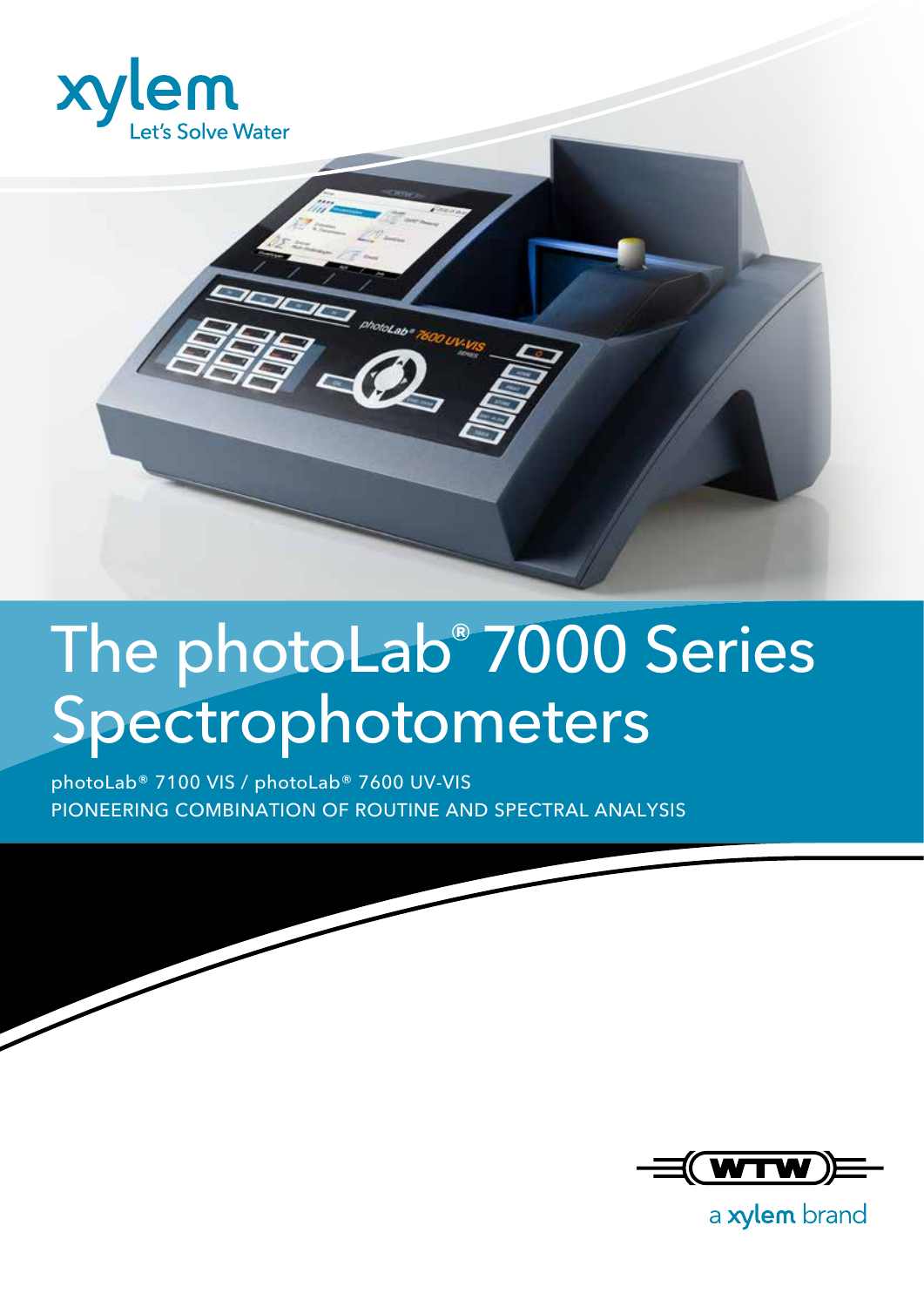



### The photoLab® 7000 Series Spectrophotometers

photoLab® 7100 VIS / photoLab® 7600 UV-VIS PIONEERING COMBINATION OF ROUTINE AND SPECTRAL ANALYSIS



a xylem brand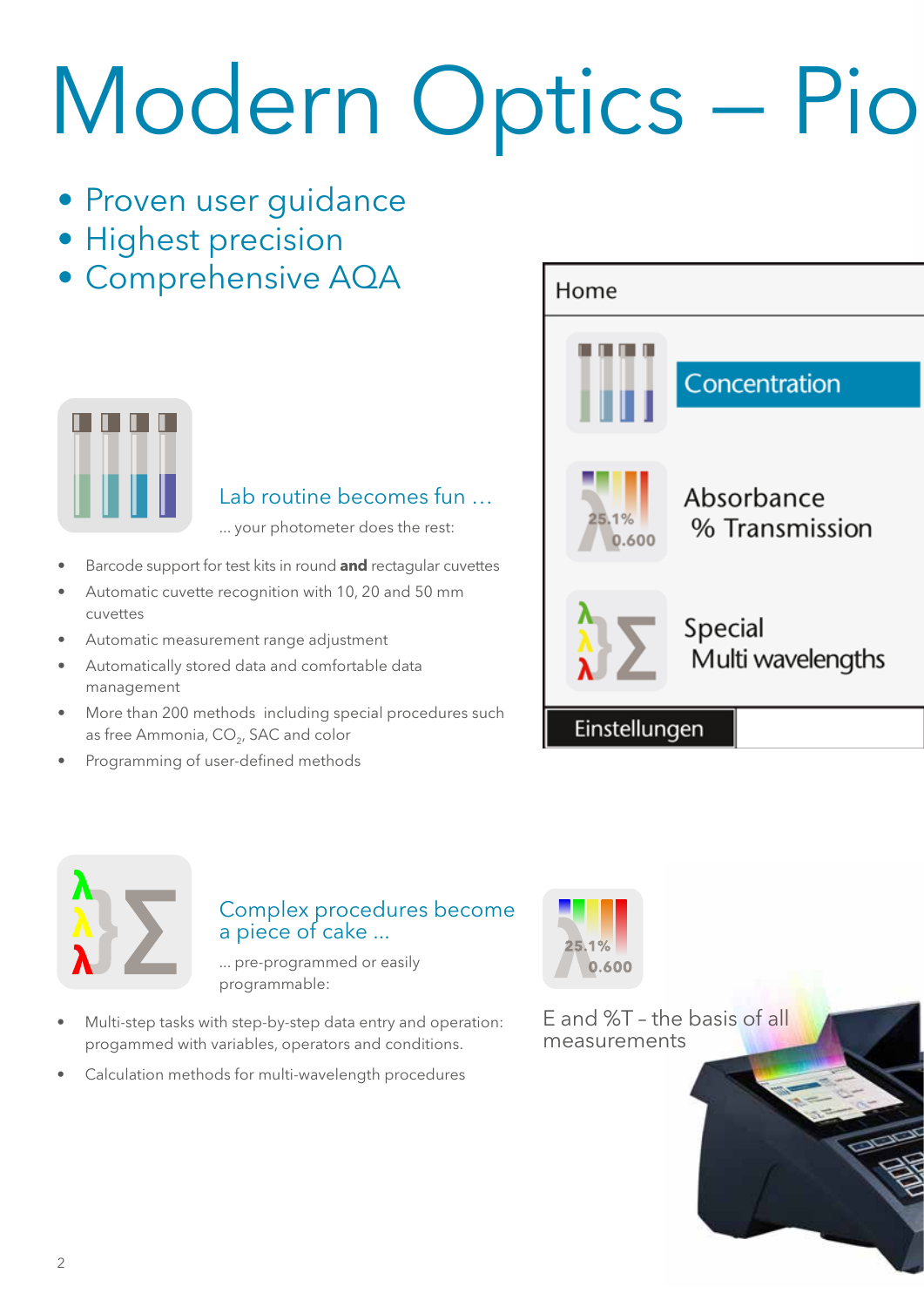# Modern Optics - Pio

- Proven user guidance
- Highest precision
- Comprehensive AQA



#### Lab routine becomes fun …

... your photometer does the rest:

- Barcode support for test kits in round **and** rectagular cuvettes
- Automatic cuvette recognition with 10, 20 and 50 mm cuvettes
- Automatic measurement range adjustment
- Automatically stored data and comfortable data management
- More than 200 methods including special procedures such as free Ammonia,  $CO<sub>2</sub>$ , SAC and color
- Programming of user-defined methods





#### Complex procedures become a piece of cake ...

... pre-programmed or easily programmable:

- Multi-step tasks with step-by-step data entry and operation: progammed with variables, operators and conditions.
- Calculation methods for multi-wavelength procedures



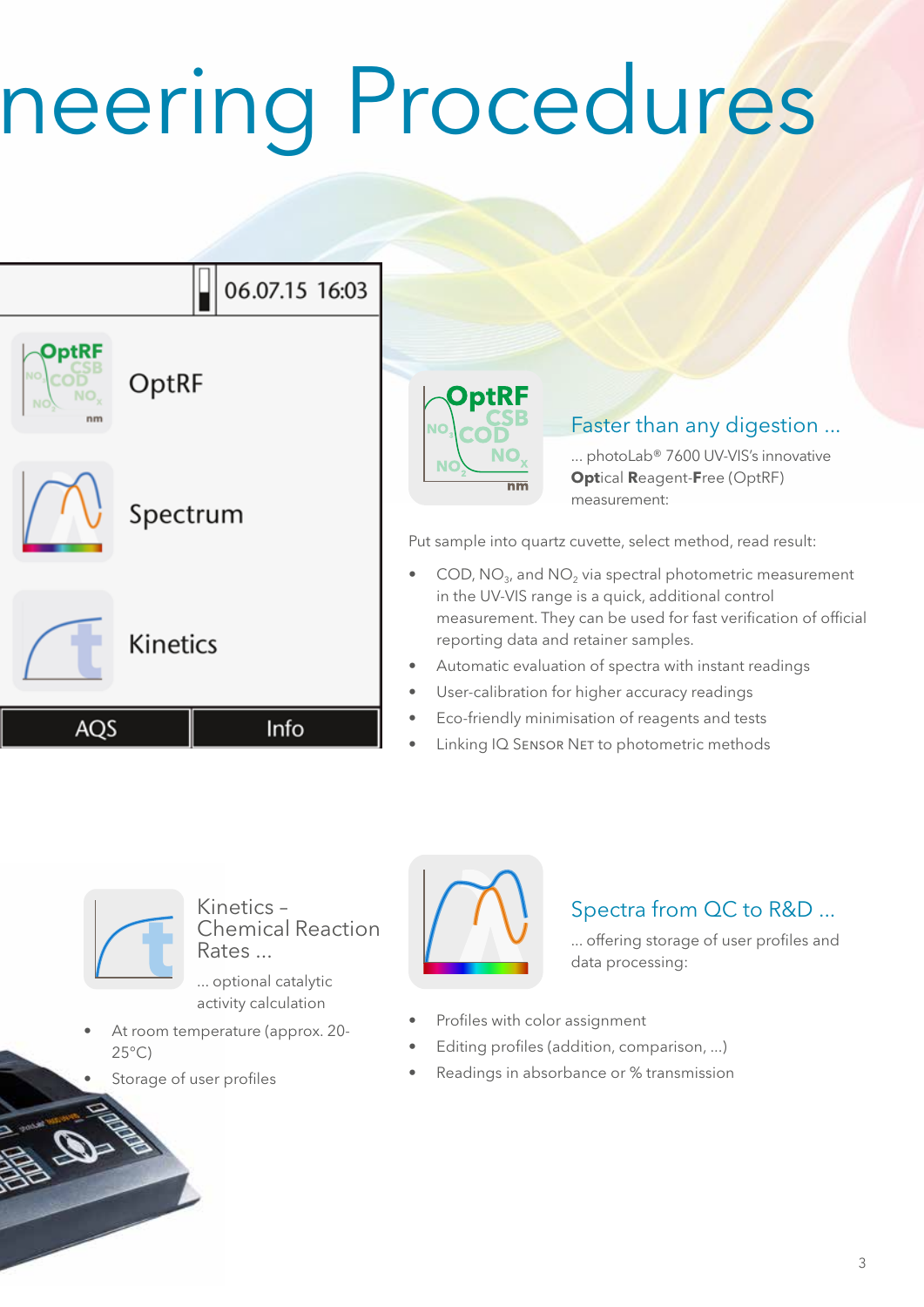## neering Procedures





Kinetics – Chemical Reaction Rates ...

... optional catalytic activity calculation

- At room temperature (approx. 20-  $25^{\circ}$ C)
- Storage of user profiles



### Spectra from QC to R&D ...

... offering storage of user profiles and data processing:

- Profiles with color assignment
- Editing profiles (addition, comparison, ...)
- Readings in absorbance or % transmission